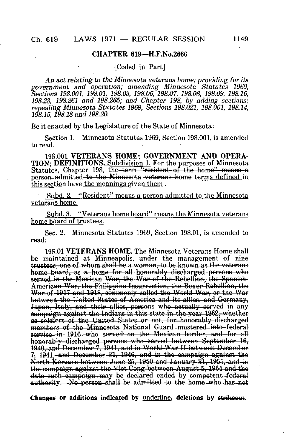### CHAPTER 619—H.F.No.2666

[Coded in Part]

An act relating to the Minnesota veterans home; providing for its government and operation; amending Minnesota Statutes 1969, Sections 198.001, 198.01, 198.03, 198.06, 198.07, 198.08, 198.09, 198.16, 198.23, 198.261 and 198.265; and Chapter 198, by adding sections; repealing Minnesota Statutes 1969, Sections 198.021, 198.061, 198.14, 198.15,198.18 and 198.20.

Be it enacted by the Legislature of the State of Minnesota:

Section 1. Minnesota Statutes 1969, Section 198.001, is amended to read:

198-001 VETERANS HOME; GOVERNMENT AND OPERA-TION; DEFINITIONS. Subdivision 1. For the purposes of Minnesota Statutes, Chapter 198, the term "resident of the home" means a person-admitted to the Minnesota veterans home terms defined in this section have the meanings given them.

Subd. 2. "Resident" means a person admitted to the Minnesota veterans home.

Subd. 3. "Veterans home board" means the Minnesota veterans home board of trustees.

Sec. 2. Minnesota Statutes 1969, Section 198.01, is amended to read:

198.01 VETERANS HOME. The Minnesota Veterans Home shall be maintained at Minneapolis, under the management of nine trustees, one of whom shall be a woman, to be known as the veterans home board, as a home for all honorably discharged persons who served in the Mexican War, the War of the Rebellion, the Spanish-Amorioan War, the Philippine Insurrection, tho Boxer Rebellion, tho War of 1917 and 1918, commonly called tho World War, or tho War botwoon tho United States of America and its allies, and Germany, Japan, Italy, and their allies, persons who actually served in any campaign against tho Indians in this state in the year 1862, whether as soldters of the United States or not, for honorably-discharged members of tho Minnesota- National Guard-musterod-into-federal service-in-1916-who served on the Mexican border, and for all honorably discharged persons who served between September 16, 1040, and Docombor 1,1941, and in World War II botwoon Docombor  $7,1941$ , and December 31, 1946, and in the campaign against the North Koreans between June 85, 1950 and January 31, 1955, and in the campaign against tho Viot Cong between August 5,1964 and tho date such campaign may be declared ended by competent federal authority. No person shall be admitted to the home-who has not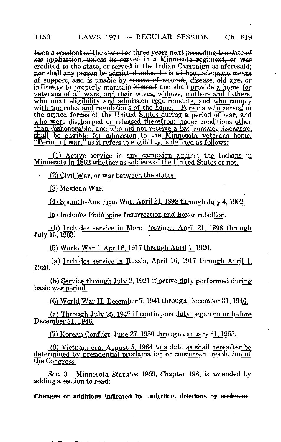boon a resident of the state for three years next preceding the date of his application, unless he served in a Minnesota regiment, or was credited to the state, or sorvod in the Indian Campaign as aforesaid; nor shall any person be admitted unless he is without adequate means of support, and is unable by reason of wounds, disease, old age, or infirmity to properly maintain himself and shall provide a home for veterans of all wars, and their wives, widows, mothers and fathers. who meet eligibility and admission requirements, and who comply with the rules and regulations of the home. Persons who served in the armed forces of the United States during a period of war, and <u>who were discharged or released therefrom under conditions other</u> than dishonorable, and who did not receive a bad conduct discharge. shall be eligible for admission to the Minnesota veterans home. "Period of war." as it refers to eligibility, is defined as follows:

(1) Active service in any campaign against the Indians in Minnesota in 1862 whether as soldiers of the United States or not.

(2) Civil War, or war between the states.

^3) Mexican War.

(4) Spanish-American War. April 21. 1898 through July 4. 1902.

(a) Includes Philippine Insurrection and Boxer rebellion.

(b) Includes service in Moro Province, April 21, 1898 through July 15. 1903.

(5) World War I. April 6. 1917 through April 1. 1920.

(a) Includes service in Russia. April 16. 1917 through April 1. 1920.

(b) Service through Julv 2. 1921 if active duty performed during basic war period.

(6) World War II. December 7. 1941 through December 31. 1946.

(a) Through July 25, 1947 if continuous duty began on or before December 31. 1946.

(7) Korean Conflict. June 27. 1950 through January 31. 1955.

(8) Vietnam era. August 5. 1964 to a date as shall hereafter be determined by presidential proclamation or concurrent resolution of the Congress.

Sec. 3. Minnesota Statutes 1969, Chapter 198, is amended by adding a section to read: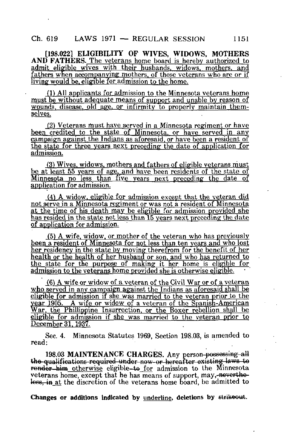[198.022] ELIGIBILITY OF WIVES, WIDOWS, MOTHERS AND FATHERS. The veterans home board is hereby authorized to admit eligible wives with their husbands, widows, mothers, and fathers when accompanying mothers, of those veterans who are or if living would be, eligible for admission to the home.

(1) All applicants for admission to the Minnesota veterans home must be without adequate means of support and unable by reason of wounds, disease, old age, or infirmity to properly maintain themselves.

(21 Veterans must have served in a Minnesota regiment or have been credited to the state of Minnesota, or have served in any campaign against the Indians as aforesaid, or have been a resident of the state for three years next preceding the date of application for admission.

(3) Wives, widows, mothers and fathers of eligible veterans must be at least 55 years of age, and have been residents of the state of Minnesota no less than five years next preceding the date of application for admission.

(4^ A widow, eligible for admission except that the veteran did not serve in a Minnesota regiment or was not a resident of Minnesota at the time of his death may be eligible for admission provided she has resided in the state not less than 15 years next preceding the date of application for admission.

(5) A wife, widow, or mother of the veteran who has previously been a resident of Minnesota for not less than ten years and who lost her residency in the state by moving therefrom for the benefit of her health or the health of her husband or son, and who has returned to the state for the purpose of making it her home is eligible for admission to the veterans home provided she is otherwise eligible.

(6) A wife or widow of a veteran of the Civil War or of a veteran who served in any campaign against the Indians as aforesaid shall be eligible for admission if she was married to the veteran prior to the year 1905. A wife or widow of a veteran of the Spanish-American War, the Phillippine Insurrection, or the Boxer rebellion shall be eligible for admission if she was married to the veteran prior to December 31.1937.

Sec. 4. Minnesota Statutes 1969, Section 198.03, is amended to read:

198.03 MAINTENANCE CHARGES. Any person-possessing all the qualifications required under now-or hereafter existing laws to render him otherwise eligible-to for admission to the Minnesota veterans home, except that he has means of support, may, nevertheless, in at the discretion of the veterans home board, be admitted to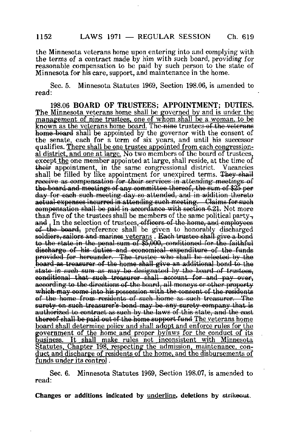the Minnesota veterans home upon entering into and complying with the terms of a contract made by him with such board, providing for reasonable compensation to be paid by such person to the state of Minnesota for his care, support, and maintenance in the home.

Sec. 5. Minnesota Statutes 1969, Section 198.06, is amended to read:

198.06 BOARD OF TRUSTEES; APPOINTMENT; DUTIES. The Minnesota veterans home shall be governed by and is under the management of nine trustees, one of whom shall be a woman, to be known as the veterans home board. The-nine trustees of the veterans home board shall be appointed by the governor with the consent of the senate, each for a term of six years, and until his successor qualifies. There shall be one trustee appointed from each congressional district, and one at large. No two members of the board of trustees, except the one member appointed at large, shall reside, at the time of their appointment, in the same congressional district. Vacancies shall be filled by like appointment for unexpired terms. They shall receive as compensation for their services in attending meetings of the board and meetings of any committee thereof, the sum of \$25 per day for each such-meeting day so attended, and in addition thereto actual-expenses incurred in-attending such meeting. — Claims for such compensation shall bo paid in accordance with section 6.21. Not more than five of the trustees shall be members of the same political partyand. In the selection of trustees, officers of the home, and employees of- the board, preference shall be given to honorably discharged soldiers, sailors and marines veterans. Each trustee shall give a bond to the state in the penal sum of \$5,000, conditioned for the faithful discharge of his duties and economical expenditure of the funds provided for hereunder. The trustee who shall be selected by the board as treasurer of the home-shall give an additional bond to the state in such sum as may be designated by the board of trustees, conditional that such treasurer shall account for and  $\gamma_{\text{pay over}}$ according to the directions of the board, all-moneys or other property which may come into his possession with the consent of the residents of the home from residents of such home as such treasurer. The surety on such treasurer's bond may be any surety company that is authorized to contract as such by the laws of this state, and the cost thereof shall be paid out of the home support fund The veterans home board shall determine policy and shall adopt and enforce rules for the government of the home and proper bylaws for the conduct of its usiness. It shall make rules not inconsistent with Minnesota Statutes. Chapter 198. respecting the admission, maintenance, conduct and discharge of residents of the home, and the disbursements of funds under its control .

Sec. 6. Minnesota Statutes 1969, Section 198.07, is amended to read: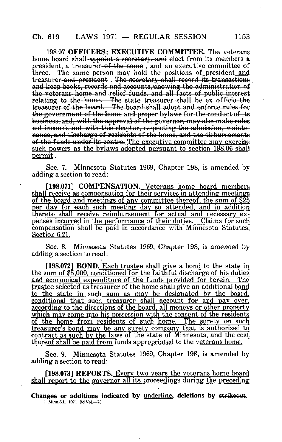## $Ch. 619$  LAWS 1971 — REGULAR SESSION 1153

198.07 OFFICERS; EXECUTIVE COMMITTEE. The veterans home board shall-appoint a secretary, and elect from its members a president, a treasurer of the home, and an executive committee of three. The same person may hold the positions of president and The same person may hold the positions of president and treasurer and president. The secretary shall record its transactions and keep books, records and accounts,'showing the administration of the veterans home and relief funds, and all facts of- public interest relating to the home. The state treasurer shall be ex officio-the treasurer of tho board.—Tho board shall adopt and enforce rulos for the government of the home and proper bylaws for the conduct of its business, and, with the approval of the governor, may also make rules not inconsistent with-this chapter, respecting the admission, maintenance, and discharge of residents of the home, and the disbursements of the funds under its control The executive committee may exercise such powers as the bylaws adopted pursuant to section 198.06 shall permit.

Sec. 7. Minnesota Statutes 1969, Chapter 198, is amended by adding a section to read:

[198.071] COMPENSATION. Veterans home board members shall receive as compensation for their services in attending meetings of the board and meetings of any committee thereof, the sum of \$25 per day for each such meeting day so attended, and in addition thereto shall receive reimbursement for actual and necessary expenses incurred in the performance of their duties. Claims for such compensation shall be paid in accordance with Minnesota Statutes. Section 6.21.

Sec. 8. Minnesota Statutes 1969, Chapter 198, is amended by adding a section to read:

[198.072] BOND. Each trustee shall give a bond to the state in the sum of S5.000. conditioned for the faithful discharge of his duties and economical expenditure of the funds provided for herein. The trustee selected as treasurer of the home shall give an additional bond to the state in such sum as may be designated by the board, conditional that such treasurer shall account for and pay over, according to the directions of the board, all moneys or other property which may come into his possession with the consent of the residents of the home from residents of such home. The surety on such treasurer's bond may be any surety company that is authorized to contract as such by the laws of the state of Minnesota, and the cost thereof shall be paid from funds appropriated to the veterans home.

Sec. 9. Minnesota Statutes 1969, Chapter 198, is amended by adding a section to read:

[198.073] REPORTS. Every two years the veterans home board shall report to the governor all its proceedings during the preceding

Changes or additions indicated by underline, deletions by strikeout. 1 Minn.S.L L971 Bd.Vol.—73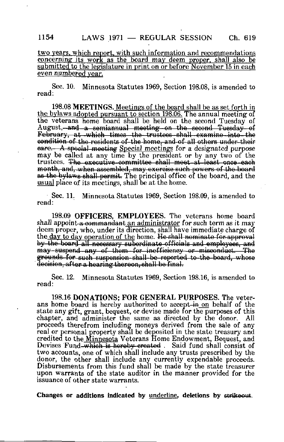## 1154 LAWS 1971 — REGULAR SESSION Ch. 619

two years, which report, with such information and recommendations concerning its work as the board may deem proper, shall also be submitted to the legislature in print on or before November 15 in each even numbered year.

Sec. 10. Minnesota Statutes 1969, Section 198.08, is amended to read:

198.08 MEETINGS. Meetings of the board shall be as set forth in the bylaws adopted pursuant to section 198.06. The annual meeting of the veterans home board shall be held on the second Tuesday of August, and a semiannual meeting on the second Tuesday of February, at which times the trustees shall examine into the condition of tho residents of tho homo, and of all others under thoir eare.—A special meeting Special meetings for a designated purpose may be called at any time by the president or by any two of the trustees. Tho executive committee shall meet at least once each month, and, when assembled, may exercise such powers of the board as the bylaws shall permit. The principal office of the board, and the usual place of its meetings, shall be at the home.

Sec. 11. Minnesota Statutes 1969, Section 198.09, is amended to read:

198.09 OFFICERS, EMPLOYEES. The veterans home board shall appoint a commandant an administrator for such term as it may deem proper, who, under its direction, shall have immediate charge of the <u>day to day</u> operation of the home. He shall nominate for approval by the board all necessary subordinate officials and employees, and may-suspend any of them for inefficiency or misconduct. The grounds for cuoh suspension chall bo reported to tho board, whoso dooioion, aftor a hearing theroon, shall bo final.

Sec. 12. Minnesota Statutes 1969, Section 198.16, is amended to read:

198.16 DONATIONS; FOR GENERAL PURPOSES. The veterans home board is hereby authorized to accept-in on behalf of the state any gift, grant, bequest, or devise made for the purposes of this chapter, and administer the same as directed by the donor. proceeds therefrom including moneys derived from the sale of any real or personal property shall be deposited in the state treasury and credited to the Minnesota Veterans Home Endowment, Bequest, and Devises Fund-which is hereby created. Said fund shall consist of two accounts, one of which shall include any trusts prescribed by the donor, the other shall include any currently expendable proceeds. Disbursements from this fund shall be made by the state treasurer upon warrants of the state auditor in the manner provided for the issuance of other state warrants.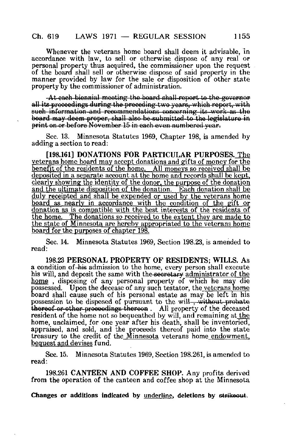Whenever the veterans home board shall deem it advisable, in accordance with law, to sell or otherwise dispose of any real or personal property thus acquired, the commissioner upon the request of the board shall sell or otherwise dispose of said property in the manner provided by law for the sale or disposition of other state property hy the commissioner of administration.

At each biennial meeting the board shall report to the governor all its proceedings during the preceding two years, which report, with sueh information and recommendations concerning its work as the board may deem proper, shall also be submitted to the legislature in print on or before November 15 in each even numbered vear.

Sec. 13. Minnesota Statutes 1969, Chapter 198, is amended by adding a section to read:

[198.161] DONATIONS FOR PARTICULAR PURPOSES. The veterans home board may accept donations and gifts of money for the benefit of the residents of the home. All moneys so received shall be deposited in a separate account at the home and records shall be kept. clearly showing the identity of the donor, the purpose of the donation and the ultimate disposition of the donation. Each donation shall be duly receipted and shall be expended or used by the veterans home board as nearly in accordance with the condition of the gift or donation as is compatible with the best interests of the residents of the home. The donations so received to the extent they are made to the state of Minnesota are hereby appropriated to the veterans home board for the purposes of chapter 198.

Sec. 14. Minnesota Statutes 1969, Section 198.23, is amended to read:

198.23 PERSONAL PROPERTY OF RESIDENTS; WILLS. As a condition of-his admission to the home, every person shall execute his will, and deposit the same with the secretary administrator of the home , disposing of any personal property of which he may die possessed. Upon the decease of any such testator, the veterans home board shall cause such of his personal estate as may be left in his possession to be disposed of pursuant to the will , without-probate thereof or other proceedings thereon . All property of the deceased resident of the home not so bequeathed by will, and remaining at the home, unclaimed, for one year after his death, shall be inventoried, appraised, and sold, and the proceeds thereof paid into the state treasury to the credit of the Minnesota veterans home endowment, bequest and devises fund.

Sec. 15. Minnesota Statutes 1969, Section 198.261, is amended to read:

198.261 CANTEEN AND COFFEE SHOP. Any profits derived from the operation of the canteen and coffee shop at the Minnesota